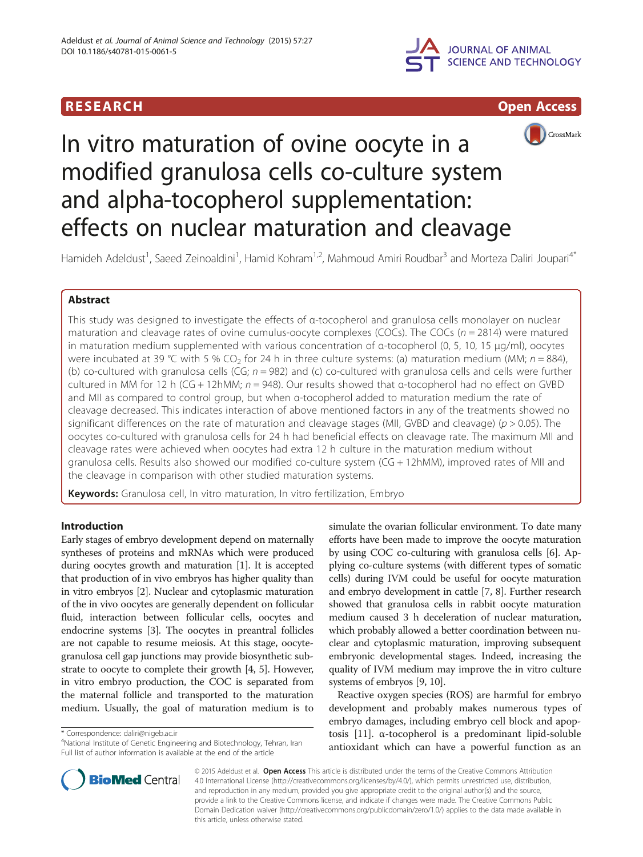## **RESEARCH CHILD CONTROL** CONTROL CONTROL CONTROL CONTROL CONTROL CONTROL CONTROL CONTROL CONTROL CONTROL CONTROL CONTROL CONTROL CONTROL CONTROL CONTROL CONTROL CONTROL CONTROL CONTROL CONTROL CONTROL CONTROL CONTROL CONTR







# In vitro maturation of ovine oocyte in a modified granulosa cells co-culture system and alpha-tocopherol supplementation: effects on nuclear maturation and cleavage

Hamideh Adeldust<sup>1</sup>, Saeed Zeinoaldini<sup>1</sup>, Hamid Kohram<sup>1,2</sup>, Mahmoud Amiri Roudbar<sup>3</sup> and Morteza Daliri Joupari<sup>4\*</sup>

## Abstract

This study was designed to investigate the effects of α-tocopherol and granulosa cells monolayer on nuclear maturation and cleavage rates of ovine cumulus-oocyte complexes (COCs). The COCs ( $n = 2814$ ) were matured in maturation medium supplemented with various concentration of α-tocopherol (0, 5, 10, 15 μg/ml), oocytes were incubated at 39 °C with 5 % CO<sub>2</sub> for 24 h in three culture systems: (a) maturation medium (MM;  $n = 884$ ), (b) co-cultured with granulosa cells (CG;  $n = 982$ ) and (c) co-cultured with granulosa cells and cells were further cultured in MM for 12 h (CG + 12hMM;  $n = 948$ ). Our results showed that  $\alpha$ -tocopherol had no effect on GVBD and MII as compared to control group, but when α-tocopherol added to maturation medium the rate of cleavage decreased. This indicates interaction of above mentioned factors in any of the treatments showed no significant differences on the rate of maturation and cleavage stages (MII, GVBD and cleavage) ( $p > 0.05$ ). The oocytes co-cultured with granulosa cells for 24 h had beneficial effects on cleavage rate. The maximum MII and cleavage rates were achieved when oocytes had extra 12 h culture in the maturation medium without granulosa cells. Results also showed our modified co-culture system (CG + 12hMM), improved rates of MII and the cleavage in comparison with other studied maturation systems.

Keywords: Granulosa cell, In vitro maturation, In vitro fertilization, Embryo

## Introduction

Early stages of embryo development depend on maternally syntheses of proteins and mRNAs which were produced during oocytes growth and maturation [\[1\]](#page-4-0). It is accepted that production of in vivo embryos has higher quality than in vitro embryos [[2\]](#page-4-0). Nuclear and cytoplasmic maturation of the in vivo oocytes are generally dependent on follicular fluid, interaction between follicular cells, oocytes and endocrine systems [\[3](#page-4-0)]. The oocytes in preantral follicles are not capable to resume meiosis. At this stage, oocytegranulosa cell gap junctions may provide biosynthetic substrate to oocyte to complete their growth [\[4, 5\]](#page-4-0). However, in vitro embryo production, the COC is separated from the maternal follicle and transported to the maturation medium. Usually, the goal of maturation medium is to

\* Correspondence: [daliri@nigeb.ac.ir](mailto:daliri@nigeb.ac.ir) <sup>4</sup>

simulate the ovarian follicular environment. To date many efforts have been made to improve the oocyte maturation by using COC co-culturing with granulosa cells [\[6](#page-4-0)]. Applying co-culture systems (with different types of somatic cells) during IVM could be useful for oocyte maturation and embryo development in cattle [\[7](#page-4-0), [8\]](#page-4-0). Further research showed that granulosa cells in rabbit oocyte maturation medium caused 3 h deceleration of nuclear maturation, which probably allowed a better coordination between nuclear and cytoplasmic maturation, improving subsequent embryonic developmental stages. Indeed, increasing the quality of IVM medium may improve the in vitro culture systems of embryos [\[9](#page-4-0), [10\]](#page-4-0).

Reactive oxygen species (ROS) are harmful for embryo development and probably makes numerous types of embryo damages, including embryo cell block and apoptosis [\[11](#page-4-0)]. α-tocopherol is a predominant lipid-soluble antioxidant which can have a powerful function as an



© 2015 Adeldust et al. Open Access This article is distributed under the terms of the Creative Commons Attribution 4.0 International License [\(http://creativecommons.org/licenses/by/4.0/\)](http://creativecommons.org/licenses/by/4.0/), which permits unrestricted use, distribution, and reproduction in any medium, provided you give appropriate credit to the original author(s) and the source, provide a link to the Creative Commons license, and indicate if changes were made. The Creative Commons Public Domain Dedication waiver ([http://creativecommons.org/publicdomain/zero/1.0/\)](http://creativecommons.org/publicdomain/zero/1.0/) applies to the data made available in this article, unless otherwise stated.

<sup>&</sup>lt;sup>4</sup>National Institute of Genetic Engineering and Biotechnology, Tehran, Iran Full list of author information is available at the end of the article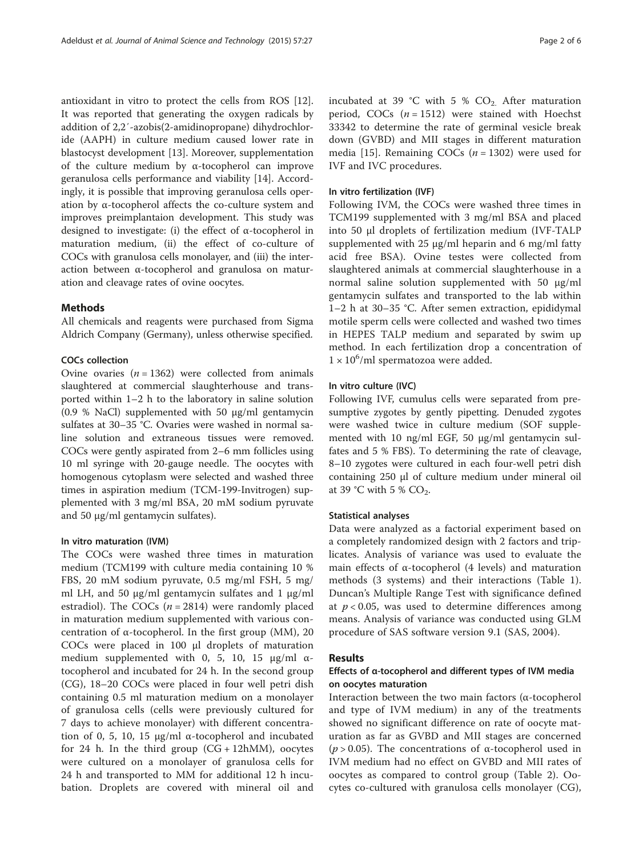antioxidant in vitro to protect the cells from ROS [\[12](#page-4-0)]. It was reported that generating the oxygen radicals by addition of 2,2′-azobis(2-amidinopropane) dihydrochloride (AAPH) in culture medium caused lower rate in blastocyst development [\[13\]](#page-4-0). Moreover, supplementation of the culture medium by α-tocopherol can improve geranulosa cells performance and viability [\[14](#page-4-0)]. Accordingly, it is possible that improving geranulosa cells operation by α-tocopherol affects the co-culture system and improves preimplantaion development. This study was designed to investigate: (i) the effect of  $\alpha$ -tocopherol in maturation medium, (ii) the effect of co-culture of COCs with granulosa cells monolayer, and (iii) the interaction between α-tocopherol and granulosa on maturation and cleavage rates of ovine oocytes.

### Methods

All chemicals and reagents were purchased from Sigma Aldrich Company (Germany), unless otherwise specified.

#### COCs collection

Ovine ovaries  $(n = 1362)$  were collected from animals slaughtered at commercial slaughterhouse and transported within 1–2 h to the laboratory in saline solution (0.9 % NaCl) supplemented with 50 μg/ml gentamycin sulfates at 30–35 °C. Ovaries were washed in normal saline solution and extraneous tissues were removed. COCs were gently aspirated from 2–6 mm follicles using 10 ml syringe with 20-gauge needle. The oocytes with homogenous cytoplasm were selected and washed three times in aspiration medium (TCM-199-Invitrogen) supplemented with 3 mg/ml BSA, 20 mM sodium pyruvate and 50 μg/ml gentamycin sulfates).

#### In vitro maturation (IVM)

The COCs were washed three times in maturation medium (TCM199 with culture media containing 10 % FBS, 20 mM sodium pyruvate, 0.5 mg/ml FSH, 5 mg/ ml LH, and 50 μg/ml gentamycin sulfates and 1 μg/ml estradiol). The COCs ( $n = 2814$ ) were randomly placed in maturation medium supplemented with various concentration of α-tocopherol. In the first group (MM), 20 COCs were placed in 100 μl droplets of maturation medium supplemented with 0, 5, 10, 15 μg/ml  $α$ tocopherol and incubated for 24 h. In the second group (CG), 18–20 COCs were placed in four well petri dish containing 0.5 ml maturation medium on a monolayer of granulosa cells (cells were previously cultured for 7 days to achieve monolayer) with different concentration of 0, 5, 10, 15 μg/ml α-tocopherol and incubated for 24 h. In the third group  $(CG + 12hMM)$ , oocytes were cultured on a monolayer of granulosa cells for 24 h and transported to MM for additional 12 h incubation. Droplets are covered with mineral oil and incubated at 39 °C with 5 %  $CO<sub>2</sub>$ . After maturation period, COCs  $(n = 1512)$  were stained with Hoechst 33342 to determine the rate of germinal vesicle break down (GVBD) and MII stages in different maturation media [\[15](#page-4-0)]. Remaining COCs ( $n = 1302$ ) were used for IVF and IVC procedures.

#### In vitro fertilization (IVF)

Following IVM, the COCs were washed three times in TCM199 supplemented with 3 mg/ml BSA and placed into 50 μl droplets of fertilization medium (IVF-TALP supplemented with 25 μg/ml heparin and 6 mg/ml fatty acid free BSA). Ovine testes were collected from slaughtered animals at commercial slaughterhouse in a normal saline solution supplemented with 50 μg/ml gentamycin sulfates and transported to the lab within 1–2 h at 30–35 °C. After semen extraction, epididymal motile sperm cells were collected and washed two times in HEPES TALP medium and separated by swim up method. In each fertilization drop a concentration of  $1 \times 10^6$ /ml spermatozoa were added.

#### In vitro culture (IVC)

Following IVF, cumulus cells were separated from presumptive zygotes by gently pipetting. Denuded zygotes were washed twice in culture medium (SOF supplemented with 10 ng/ml EGF, 50 μg/ml gentamycin sulfates and 5 % FBS). To determining the rate of cleavage, 8–10 zygotes were cultured in each four-well petri dish containing 250 μl of culture medium under mineral oil at 39 °C with 5 %  $CO<sub>2</sub>$ .

#### Statistical analyses

Data were analyzed as a factorial experiment based on a completely randomized design with 2 factors and triplicates. Analysis of variance was used to evaluate the main effects of  $α$ -tocopherol (4 levels) and maturation methods (3 systems) and their interactions (Table [1](#page-2-0)). Duncan's Multiple Range Test with significance defined at  $p < 0.05$ , was used to determine differences among means. Analysis of variance was conducted using GLM procedure of SAS software version 9.1 (SAS, 2004).

#### Results

## Effects of α-tocopherol and different types of IVM media on oocytes maturation

Interaction between the two main factors (α-tocopherol and type of IVM medium) in any of the treatments showed no significant difference on rate of oocyte maturation as far as GVBD and MII stages are concerned ( $p > 0.05$ ). The concentrations of  $\alpha$ -tocopherol used in IVM medium had no effect on GVBD and MII rates of oocytes as compared to control group (Table [2\)](#page-2-0). Oocytes co-cultured with granulosa cells monolayer (CG),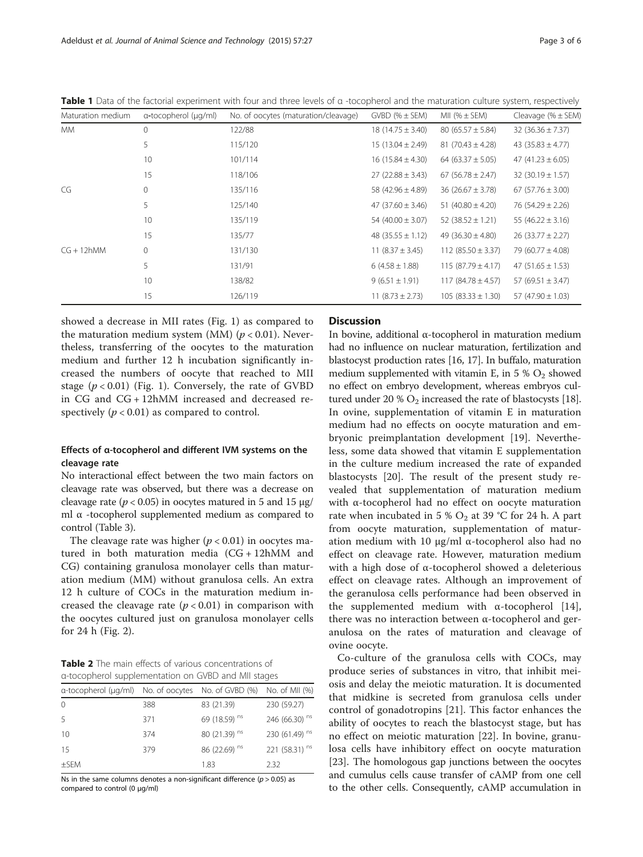| Maturation medium | a-tocopherol (µg/ml) | No. of oocytes (maturation/cleavage) | $GVBD$ (% $\pm$ SEM)  | MII (% $\pm$ SEM)      | Cleavage $(\% \pm \text{SEM})$ |
|-------------------|----------------------|--------------------------------------|-----------------------|------------------------|--------------------------------|
| MM.               | $\mathbf{0}$         | 122/88                               | $18(14.75 \pm 3.40)$  | $80(65.57 \pm 5.84)$   | 32 $(36.36 \pm 7.37)$          |
|                   | 5                    | 115/120                              | $15(13.04 \pm 2.49)$  | 81 $(70.43 \pm 4.28)$  | 43 $(35.83 \pm 4.77)$          |
|                   | 10                   | 101/114                              | $16(15.84 \pm 4.30)$  | 64 (63.37 $\pm$ 5.05)  | 47 (41.23 $\pm$ 6.05)          |
|                   | 15                   | 118/106                              | $27(22.88 \pm 3.43)$  | $67 (56.78 \pm 2.47)$  | $32(30.19 \pm 1.57)$           |
| CG                | 0                    | 135/116                              | 58 $(42.96 \pm 4.89)$ | $36(26.67 \pm 3.78)$   | $67(57.76 \pm 3.00)$           |
|                   | 5                    | 125/140                              | 47 $(37.60 \pm 3.46)$ | 51 $(40.80 \pm 4.20)$  | 76 $(54.29 \pm 2.26)$          |
|                   | 10                   | 135/119                              | 54 $(40.00 \pm 3.07)$ | 52 $(38.52 \pm 1.21)$  | 55 $(46.22 \pm 3.16)$          |
|                   | 15                   | 135/77                               | 48 $(35.55 \pm 1.12)$ | 49 $(36.30 \pm 4.80)$  | $26(33.77 \pm 2.27)$           |
| $CG + 12hMM$      | $\mathbf 0$          | 131/130                              | 11 $(8.37 \pm 3.45)$  | 112 $(85.50 \pm 3.37)$ | 79 (60.77 $\pm$ 4.08)          |
|                   | 5                    | 131/91                               | $6(4.58 \pm 1.88)$    | $115(87.79 \pm 4.17)$  | 47 $(51.65 \pm 1.53)$          |
|                   | 10                   | 138/82                               | $9(6.51 \pm 1.91)$    | $117(84.78 \pm 4.57)$  | 57 (69.51 $\pm$ 3.47)          |
|                   | 15                   | 126/119                              | 11 $(8.73 \pm 2.73)$  | $105(83.33 \pm 1.30)$  | 57 (47.90 $\pm$ 1.03)          |
|                   |                      |                                      |                       |                        |                                |

<span id="page-2-0"></span>Table 1 Data of the factorial experiment with four and three levels of a -tocopherol and the maturation culture system, respectively

showed a decrease in MII rates (Fig. [1\)](#page-3-0) as compared to the maturation medium system (MM) ( $p < 0.01$ ). Nevertheless, transferring of the oocytes to the maturation medium and further 12 h incubation significantly increased the numbers of oocyte that reached to MII stage  $(p < 0.01)$  (Fig. [1](#page-3-0)). Conversely, the rate of GVBD in CG and CG + 12hMM increased and decreased respectively  $(p < 0.01)$  as compared to control.

## Effects of α-tocopherol and different IVM systems on the cleavage rate

No interactional effect between the two main factors on cleavage rate was observed, but there was a decrease on cleavage rate ( $p < 0.05$ ) in oocytes matured in 5 and 15  $\mu$ g/ ml α -tocopherol supplemented medium as compared to control (Table [3](#page-3-0)).

The cleavage rate was higher  $(p < 0.01)$  in oocytes matured in both maturation media (CG + 12hMM and CG) containing granulosa monolayer cells than maturation medium (MM) without granulosa cells. An extra 12 h culture of COCs in the maturation medium increased the cleavage rate ( $p < 0.01$ ) in comparison with the oocytes cultured just on granulosa monolayer cells for 24 h (Fig. [2\)](#page-3-0).

Table 2 The main effects of various concentrations of α-tocopherol supplementation on GVBD and MII stages

| a-tocopherol (µg/ml) No. of oocytes No. of GVBD (%) |     |                            | No. of MII (%)              |
|-----------------------------------------------------|-----|----------------------------|-----------------------------|
| 0                                                   | 388 | 83 (21.39)                 | 230 (59.27)                 |
| -5                                                  | 371 | 69 (18.59) ns              | $246(66.30)$ <sup>115</sup> |
| 10                                                  | 374 | 80 $(21.39)$ <sup>ns</sup> | 230 (61.49) $ns$            |
| 15                                                  | 379 | 86 (22.69) ns              | 221 (58.31) ns              |
| $+$ SFM                                             |     | 1.83                       | 232                         |

Ns in the same columns denotes a non-significant difference ( $p > 0.05$ ) as compared to control (0 μg/ml)

## **Discussion**

In bovine, additional α-tocopherol in maturation medium had no influence on nuclear maturation, fertilization and blastocyst production rates [\[16](#page-4-0), [17](#page-4-0)]. In buffalo, maturation medium supplemented with vitamin E, in 5 %  $O_2$  showed no effect on embryo development, whereas embryos cultured under 20 %  $O_2$  increased the rate of blastocysts [[18](#page-4-0)]. In ovine, supplementation of vitamin E in maturation medium had no effects on oocyte maturation and embryonic preimplantation development [[19\]](#page-4-0). Nevertheless, some data showed that vitamin E supplementation in the culture medium increased the rate of expanded blastocysts [\[20](#page-4-0)]. The result of the present study revealed that supplementation of maturation medium with α-tocopherol had no effect on oocyte maturation rate when incubated in 5 %  $O_2$  at 39 °C for 24 h. A part from oocyte maturation, supplementation of maturation medium with 10 μg/ml α-tocopherol also had no effect on cleavage rate. However, maturation medium with a high dose of  $\alpha$ -tocopherol showed a deleterious effect on cleavage rates. Although an improvement of the geranulosa cells performance had been observed in the supplemented medium with  $α$ -tocopherol [\[14](#page-4-0)], there was no interaction between α-tocopherol and geranulosa on the rates of maturation and cleavage of ovine oocyte.

Co-culture of the granulosa cells with COCs, may produce series of substances in vitro, that inhibit meiosis and delay the meiotic maturation. It is documented that midkine is secreted from granulosa cells under control of gonadotropins [[21](#page-4-0)]. This factor enhances the ability of oocytes to reach the blastocyst stage, but has no effect on meiotic maturation [[22\]](#page-4-0). In bovine, granulosa cells have inhibitory effect on oocyte maturation [[23\]](#page-4-0). The homologous gap junctions between the oocytes and cumulus cells cause transfer of cAMP from one cell to the other cells. Consequently, cAMP accumulation in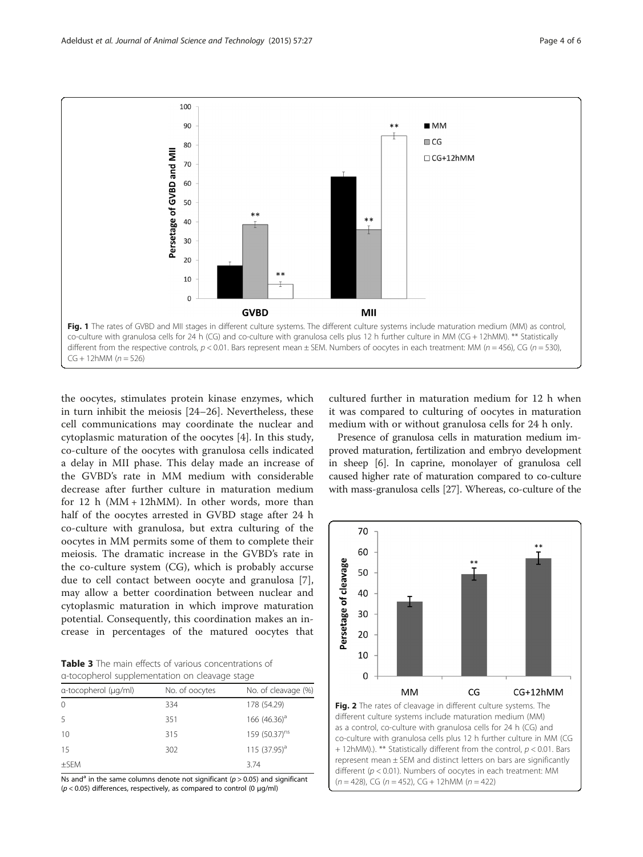<span id="page-3-0"></span>

the oocytes, stimulates protein kinase enzymes, which in turn inhibit the meiosis [[24](#page-4-0)–[26](#page-5-0)]. Nevertheless, these cell communications may coordinate the nuclear and cytoplasmic maturation of the oocytes [[4\]](#page-4-0). In this study, co-culture of the oocytes with granulosa cells indicated a delay in MII phase. This delay made an increase of the GVBD's rate in MM medium with considerable decrease after further culture in maturation medium for 12 h (MM + 12hMM). In other words, more than half of the oocytes arrested in GVBD stage after 24 h co-culture with granulosa, but extra culturing of the oocytes in MM permits some of them to complete their meiosis. The dramatic increase in the GVBD's rate in the co-culture system (CG), which is probably accurse due to cell contact between oocyte and granulosa [\[7](#page-4-0)], may allow a better coordination between nuclear and cytoplasmic maturation in which improve maturation potential. Consequently, this coordination makes an increase in percentages of the matured oocytes that

Table 3 The main effects of various concentrations of α-tocopherol supplementation on cleavage stage

| a-tocopherol (µg/ml) | No. of oocytes | No. of cleavage (%)       |
|----------------------|----------------|---------------------------|
| $\Omega$             | 334            | 178 (54.29)               |
| -5                   | 351            | 166 $(46.36)^a$           |
| 10                   | 315            | 159 (50.37) <sup>ns</sup> |
| 15                   | 302            | 115 $(37.95)^a$           |
| $+$ SFM              |                | 3.74                      |

Ns and<sup>a</sup> in the same columns denote not significant ( $p > 0.05$ ) and significant (p < 0.05) differences, respectively, as compared to control (0 μg/ml)

cultured further in maturation medium for 12 h when it was compared to culturing of oocytes in maturation medium with or without granulosa cells for 24 h only.

Presence of granulosa cells in maturation medium improved maturation, fertilization and embryo development in sheep [\[6](#page-4-0)]. In caprine, monolayer of granulosa cell caused higher rate of maturation compared to co-culture with mass-granulosa cells [\[27\]](#page-5-0). Whereas, co-culture of the



Fig. 2 The rates of cleavage in different culture systems. The different culture systems include maturation medium (MM) as a control, co-culture with granulosa cells for 24 h (CG) and co-culture with granulosa cells plus 12 h further culture in MM (CG + 12hMM).). \*\* Statistically different from the control,  $p < 0.01$ . Bars represent mean ± SEM and distinct letters on bars are significantly different ( $p < 0.01$ ). Numbers of oocytes in each treatment: MM  $(n = 428)$ , CG  $(n = 452)$ , CG + 12hMM  $(n = 422)$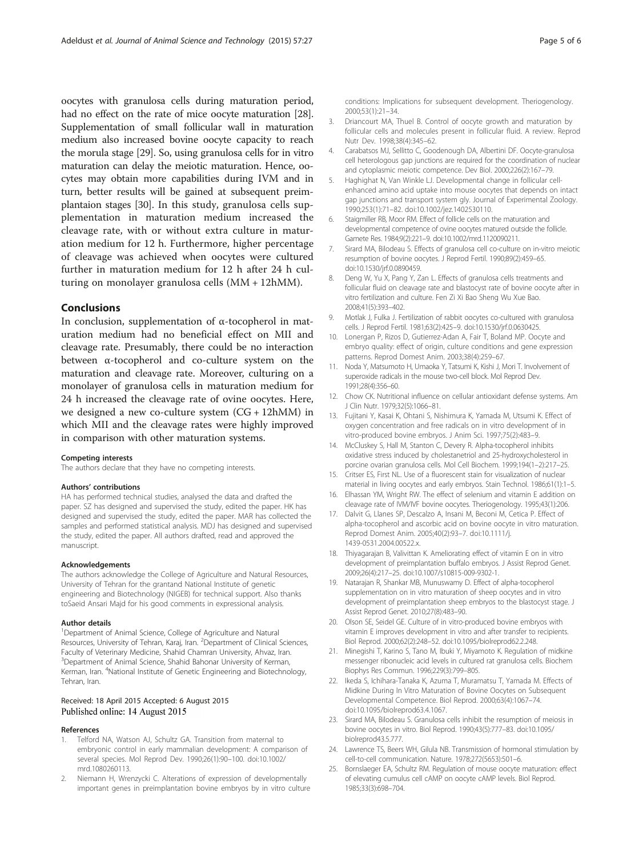<span id="page-4-0"></span>oocytes with granulosa cells during maturation period, had no effect on the rate of mice oocyte maturation [[28](#page-5-0)]. Supplementation of small follicular wall in maturation medium also increased bovine oocyte capacity to reach the morula stage [\[29](#page-5-0)]. So, using granulosa cells for in vitro maturation can delay the meiotic maturation. Hence, oocytes may obtain more capabilities during IVM and in turn, better results will be gained at subsequent preimplantaion stages [[30\]](#page-5-0). In this study, granulosa cells supplementation in maturation medium increased the cleavage rate, with or without extra culture in maturation medium for 12 h. Furthermore, higher percentage of cleavage was achieved when oocytes were cultured further in maturation medium for 12 h after 24 h culturing on monolayer granulosa cells (MM + 12hMM).

### Conclusions

In conclusion, supplementation of α-tocopherol in maturation medium had no beneficial effect on MII and cleavage rate. Presumably, there could be no interaction between α-tocopherol and co-culture system on the maturation and cleavage rate. Moreover, culturing on a monolayer of granulosa cells in maturation medium for 24 h increased the cleavage rate of ovine oocytes. Here, we designed a new co-culture system (CG + 12hMM) in which MII and the cleavage rates were highly improved in comparison with other maturation systems.

#### Competing interests

The authors declare that they have no competing interests.

#### Authors' contributions

HA has performed technical studies, analysed the data and drafted the paper. SZ has designed and supervised the study, edited the paper. HK has designed and supervised the study, edited the paper. MAR has collected the samples and performed statistical analysis. MDJ has designed and supervised the study, edited the paper. All authors drafted, read and approved the manuscript.

#### Acknowledgements

The authors acknowledge the College of Agriculture and Natural Resources, University of Tehran for the grantand National Institute of genetic engineering and Biotechnology (NIGEB) for technical support. Also thanks toSaeid Ansari Majd for his good comments in expressional analysis.

#### Author details

<sup>1</sup>Department of Animal Science, College of Agriculture and Natural Resources, University of Tehran, Karaj, Iran. <sup>2</sup>Department of Clinical Sciences, Faculty of Veterinary Medicine, Shahid Chamran University, Ahvaz, Iran. <sup>3</sup>Department of Animal Science, Shahid Bahonar University of Kerman, Kerman, Iran. <sup>4</sup>National Institute of Genetic Engineering and Biotechnology, Tehran, Iran.

#### Received: 18 April 2015 Accepted: 6 August 2015 Published online: 14 August 2015

#### References

- Telford NA, Watson AJ, Schultz GA. Transition from maternal to embryonic control in early mammalian development: A comparison of several species. Mol Reprod Dev. 1990;26(1):90–100. doi[:10.1002/](http://dx.doi.org/10.1002/mrd.1080260113) [mrd.1080260113.](http://dx.doi.org/10.1002/mrd.1080260113)
- 2. Niemann H, Wrenzycki C. Alterations of expression of developmentally important genes in preimplantation bovine embryos by in vitro culture

conditions: Implications for subsequent development. Theriogenology. 2000;53(1):21–34.

- 3. Driancourt MA, Thuel B. Control of oocyte growth and maturation by follicular cells and molecules present in follicular fluid. A review. Reprod Nutr Dev. 1998;38(4):345–62.
- 4. Carabatsos MJ, Sellitto C, Goodenough DA, Albertini DF. Oocyte-granulosa cell heterologous gap junctions are required for the coordination of nuclear and cytoplasmic meiotic competence. Dev Biol. 2000;226(2):167–79.
- 5. Haghighat N, Van Winkle LJ. Developmental change in follicular cellenhanced amino acid uptake into mouse oocytes that depends on intact gap junctions and transport system gly. Journal of Experimental Zoology. 1990;253(1):71–82. doi:[10.1002/jez.1402530110](http://dx.doi.org/10.1002/jez.1402530110).
- 6. Staigmiller RB, Moor RM. Effect of follicle cells on the maturation and developmental competence of ovine oocytes matured outside the follicle. Gamete Res. 1984;9(2):221–9. doi[:10.1002/mrd.1120090211](http://dx.doi.org/10.1002/mrd.1120090211).
- 7. Sirard MA, Bilodeau S. Effects of granulosa cell co-culture on in-vitro meiotic resumption of bovine oocytes. J Reprod Fertil. 1990;89(2):459–65. doi[:10.1530/jrf.0.0890459](http://dx.doi.org/10.1530/jrf.0.0890459).
- 8. Deng W, Yu X, Pang Y, Zan L. Effects of granulosa cells treatments and follicular fluid on cleavage rate and blastocyst rate of bovine oocyte after in vitro fertilization and culture. Fen Zi Xi Bao Sheng Wu Xue Bao. 2008;41(5):393–402.
- 9. Motlak J, Fulka J. Fertilization of rabbit oocytes co-cultured with granulosa cells. J Reprod Fertil. 1981;63(2):425–9. doi[:10.1530/jrf.0.0630425.](http://dx.doi.org/10.1530/jrf.0.0630425)
- 10. Lonergan P, Rizos D, Gutierrez-Adan A, Fair T, Boland MP. Oocyte and embryo quality: effect of origin, culture conditions and gene expression patterns. Reprod Domest Anim. 2003;38(4):259–67.
- 11. Noda Y, Matsumoto H, Umaoka Y, Tatsumi K, Kishi J, Mori T. Involvement of superoxide radicals in the mouse two-cell block. Mol Reprod Dev. 1991;28(4):356–60.
- 12. Chow CK. Nutritional influence on cellular antioxidant defense systems. Am J Clin Nutr. 1979;32(5):1066–81.
- 13. Fujitani Y, Kasai K, Ohtani S, Nishimura K, Yamada M, Utsumi K. Effect of oxygen concentration and free radicals on in vitro development of in vitro-produced bovine embryos. J Anim Sci. 1997;75(2):483–9.
- 14. McCluskey S, Hall M, Stanton C, Devery R. Alpha-tocopherol inhibits oxidative stress induced by cholestanetriol and 25-hydroxycholesterol in porcine ovarian granulosa cells. Mol Cell Biochem. 1999;194(1–2):217–25.
- 15. Critser ES, First NL. Use of a fluorescent stain for visualization of nuclear material in living oocytes and early embryos. Stain Technol. 1986;61(1):1–5.
- 16. Elhassan YM, Wright RW. The effect of selenium and vitamin E addition on cleavage rate of IVM/IVF bovine oocytes. Theriogenology. 1995;43(1):206.
- 17. Dalvit G, Llanes SP, Descalzo A, Insani M, Beconi M, Cetica P. Effect of alpha-tocopherol and ascorbic acid on bovine oocyte in vitro maturation. Reprod Domest Anim. 2005;40(2):93–7. doi[:10.1111/j.](http://dx.doi.org/10.1111/j.1439-0531.2004.00522.x) [1439-0531.2004.00522.x](http://dx.doi.org/10.1111/j.1439-0531.2004.00522.x).
- 18. Thiyagarajan B, Valivittan K. Ameliorating effect of vitamin E on in vitro development of preimplantation buffalo embryos. J Assist Reprod Genet. 2009;26(4):217–25. doi:[10.1007/s10815-009-9302-1](http://dx.doi.org/10.1007/s10815-009-9302-1).
- 19. Natarajan R, Shankar MB, Munuswamy D. Effect of alpha-tocopherol supplementation on in vitro maturation of sheep oocytes and in vitro development of preimplantation sheep embryos to the blastocyst stage. J Assist Reprod Genet. 2010;27(8):483–90.
- 20. Olson SE, Seidel GE. Culture of in vitro-produced bovine embryos with vitamin E improves development in vitro and after transfer to recipients. Biol Reprod. 2000;62(2):248–52. doi[:10.1095/biolreprod62.2.248.](http://dx.doi.org/10.1095/biolreprod62.2.248)
- 21. Minegishi T, Karino S, Tano M, Ibuki Y, Miyamoto K. Regulation of midkine messenger ribonucleic acid levels in cultured rat granulosa cells. Biochem Biophys Res Commun. 1996;229(3):799–805.
- 22. Ikeda S, Ichihara-Tanaka K, Azuma T, Muramatsu T, Yamada M. Effects of Midkine During In Vitro Maturation of Bovine Oocytes on Subsequent Developmental Competence. Biol Reprod. 2000;63(4):1067–74. doi[:10.1095/biolreprod63.4.1067.](http://dx.doi.org/10.1095/biolreprod63.4.1067)
- 23. Sirard MA, Bilodeau S. Granulosa cells inhibit the resumption of meiosis in bovine oocytes in vitro. Biol Reprod. 1990;43(5):777–83. doi[:10.1095/](http://dx.doi.org/10.1095/biolreprod43.5.777) [biolreprod43.5.777](http://dx.doi.org/10.1095/biolreprod43.5.777).
- 24. Lawrence TS, Beers WH, Gilula NB. Transmission of hormonal stimulation by cell-to-cell communication. Nature. 1978;272(5653):501–6.
- 25. Bornslaeger EA, Schultz RM. Regulation of mouse oocyte maturation: effect of elevating cumulus cell cAMP on oocyte cAMP levels. Biol Reprod. 1985;33(3):698–704.